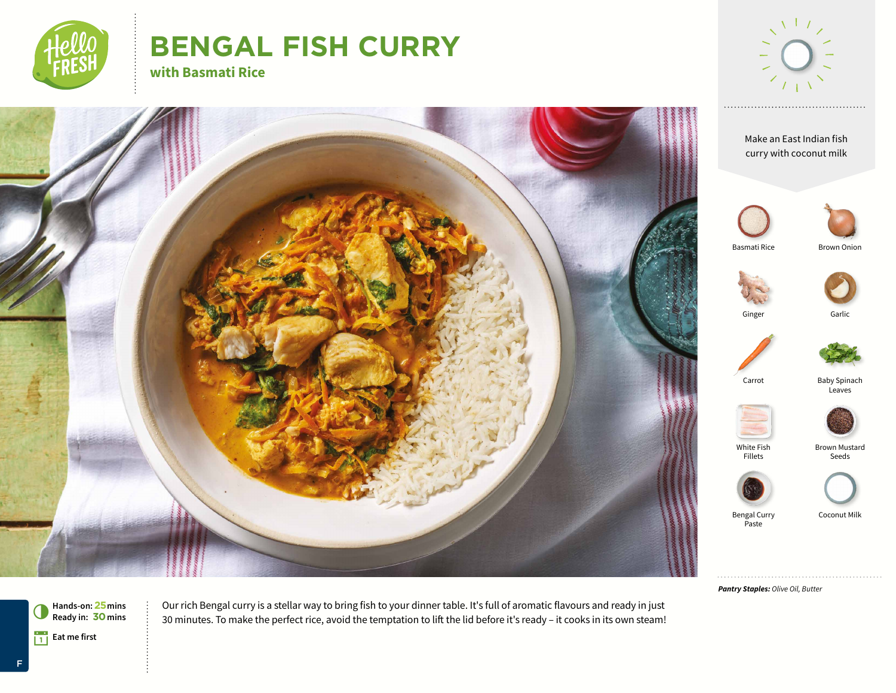

# **BENGAL FISH CURRY with Basmati Rice**



Baby Spinach Leaves

Brown Mustard Seeds

Coconut Milk

Brown Onion

Make an East Indian fish curry with coconut milk Basmati Rice Carrot Ginger Garlic White Fish Fillets Bengal Curry Paste

*Pantry Staples: Olive Oil, Butter*



Our rich Bengal curry is a stellar way to bring fish to your dinner table. It's full of aromatic flavours and ready in just 30 minutes. To make the perfect rice, avoid the temptation to lift the lid before it's ready – it cooks in its own steam!

F